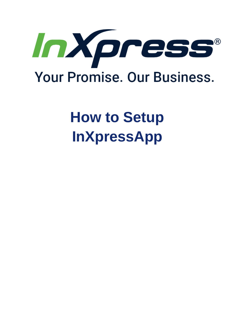

# **How to Setup InXpressApp**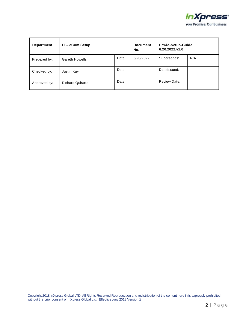

| Department   | IT - eCom Setup         |       | <b>Document</b><br>No. | Ecwid-Setup-Guide<br>6.20.2022.v1.0 |     |
|--------------|-------------------------|-------|------------------------|-------------------------------------|-----|
| Prepared by: | <b>Gareth Howells</b>   | Date: | 6/20/2022              | Supersedes:                         | N/A |
| Checked by:  | Justin Kay              | Date: |                        | Date Issued:                        |     |
| Approved by: | <b>Richard Quirarte</b> | Date: |                        | <b>Review Date:</b>                 |     |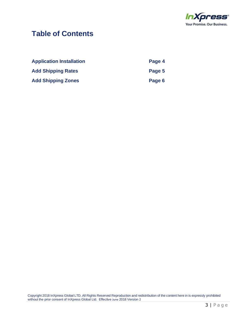

#### **Table of Contents**

| <b>Application Installation</b> | Page 4 |
|---------------------------------|--------|
| <b>Add Shipping Rates</b>       | Page 5 |
| <b>Add Shipping Zones</b>       | Page 6 |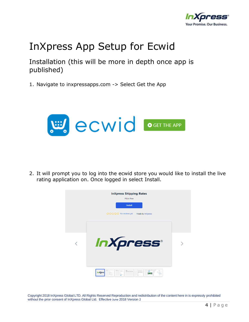

## InXpress App Setup for Ecwid

Installation (this will be more in depth once app is published)

1. Navigate to inxpressapps.com -> Select Get the App



2. It will prompt you to log into the ecwid store you would like to install the live rating application on. Once logged in select Install.

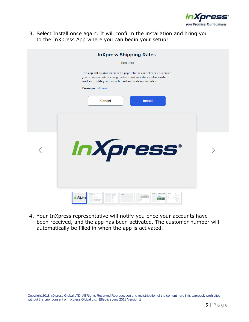

3. Select Install once again. It will confirm the installation and bring you to the InXpress App where you can begin your setup!

| <b>InXpress Shipping Rates</b>                                                                                                                                                                                                                                             |  |
|----------------------------------------------------------------------------------------------------------------------------------------------------------------------------------------------------------------------------------------------------------------------------|--|
| Price: Free                                                                                                                                                                                                                                                                |  |
| This app will be able to: embed a page into the control panel, customize<br>your storefront, add shipping method, read your store profile, create,<br>read and update your products, read and update your orders<br>Developer: InXpress<br><b>Cancel</b><br><b>Install</b> |  |
| InXpress®                                                                                                                                                                                                                                                                  |  |
| Configure Beves for the Foota<br>InXpre                                                                                                                                                                                                                                    |  |

4. Your InXpress representative will notify you once your accounts have been received, and the app has been activated. The customer number will automatically be filled in when the app is activated.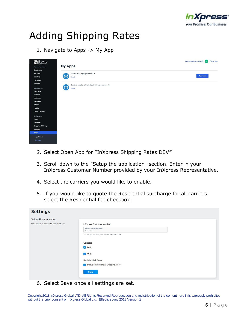

# Adding Shipping Rates

1. Navigate to Apps -> My App

| Ecwid                        |                                                      | View InXpress-Test-Store [2] GH<br>Get Help |
|------------------------------|------------------------------------------------------|---------------------------------------------|
| Store management             | <b>My Apps</b>                                       |                                             |
| Dashboard                    |                                                      |                                             |
| My Sales                     | <b>InXpress Shipping Rates DEV</b>                   |                                             |
| Catalog                      | پىتى<br>Details                                      | Open app                                    |
|                              |                                                      |                                             |
|                              |                                                      |                                             |
|                              | Custom app for chris.baldwin@inxpress.com #1<br>پىلا |                                             |
|                              | Details                                              |                                             |
|                              |                                                      |                                             |
|                              |                                                      |                                             |
|                              |                                                      |                                             |
|                              |                                                      |                                             |
|                              |                                                      |                                             |
|                              |                                                      |                                             |
|                              |                                                      |                                             |
|                              |                                                      |                                             |
|                              |                                                      |                                             |
| <b>Shipping &amp; Pickup</b> |                                                      |                                             |
|                              |                                                      |                                             |
|                              |                                                      |                                             |
|                              |                                                      |                                             |
|                              |                                                      |                                             |
|                              |                                                      |                                             |

- *2.* Select Open App for *"*InXpress Shipping Rates DEV*"*
- 3. Scroll down to the *"*Setup the application*"* section. Enter in your InXpress Customer Number provided by your InXpress Representative.
- 4. Select the carriers you would like to enable.
- 5. If you would like to quote the Residential surcharge for all carriers, select the Residential fee checkbox.

| <b>Settings</b>                                                  |                                                                                                       |
|------------------------------------------------------------------|-------------------------------------------------------------------------------------------------------|
| Set up the application<br>Set account number and select services | <b>InXpress Customer Number</b><br>InXpress Customer Number<br>10000001                               |
|                                                                  | You can get this from your InXpress Representative<br>Carriers<br>OHL                                 |
|                                                                  | V UPS<br><b>Residential Fees</b><br>Include Residential Shipping Fees<br>$\blacktriangledown$<br>Save |

6. Select Save once all settings are set.

Copyright 2018 InXpress Global LTD. All Rights Reserved Reproduction and redistribution of the content here in is expressly prohibited without the prior consent of InXpress Global Ltd. Effective June 2018 Version 2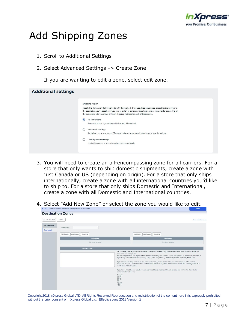

## Add Shipping Zones

- 1. Scroll to Additional Settings
- 2. Select Advanced Settings -> Create Zone

If you are wanting to edit a zone, select edit zone.

| <b>Additional settings</b> |                                                                                                                                                                                                                                                                                                                                 |
|----------------------------|---------------------------------------------------------------------------------------------------------------------------------------------------------------------------------------------------------------------------------------------------------------------------------------------------------------------------------|
|                            | Shipping region                                                                                                                                                                                                                                                                                                                 |
|                            | Specify the destination that you ship to with this method. If you use shipping services, check that they deliver to<br>the destination you've specified. If you ship to different zones and the shipping rates should differ depending on<br>the customer's address, create different shipping methods for each of those zones. |
|                            | $\odot$<br>No limitations<br>Select this option if you ship worldwide with this method.                                                                                                                                                                                                                                         |
|                            | Advanced settings<br>Set delivery zone by country, ZIP/postal code range, or state if you deliver to specific regions.                                                                                                                                                                                                          |
|                            | Limit by zone on map<br>Limit delivery area to your city, neighborhood, or block.                                                                                                                                                                                                                                               |
|                            |                                                                                                                                                                                                                                                                                                                                 |

- 3. You will need to create an all-encompassing zone for all carriers. For a store that only wants to ship domestic shipments, create a zone with just Canada or US (depending on origin). For a store that only ships internationally, create a zone with all international countries you*'*d like to ship to. For a store that only ships Domestic and International, create a zone with all Domestic and International countries.
- 4. Select *"*Add New Zone*"* or select the zone you would like to edit.

| + Add New Zone                      | Delete                                  |                                                                                                                                                                          |                         |                                                                                                                                                                                                                                                        | About destination zones                                                                                                                                                                                                                                                                                                                                                                                                                                                                                                                          |
|-------------------------------------|-----------------------------------------|--------------------------------------------------------------------------------------------------------------------------------------------------------------------------|-------------------------|--------------------------------------------------------------------------------------------------------------------------------------------------------------------------------------------------------------------------------------------------------|--------------------------------------------------------------------------------------------------------------------------------------------------------------------------------------------------------------------------------------------------------------------------------------------------------------------------------------------------------------------------------------------------------------------------------------------------------------------------------------------------------------------------------------------------|
| <b>No limitations</b><br>New zone 2 | Zone Name                               |                                                                                                                                                                          |                         |                                                                                                                                                                                                                                                        |                                                                                                                                                                                                                                                                                                                                                                                                                                                                                                                                                  |
|                                     | Add Region<br>Clear List<br>Add Country |                                                                                                                                                                          | Add Region<br>Add State | Clear List                                                                                                                                                                                                                                             |                                                                                                                                                                                                                                                                                                                                                                                                                                                                                                                                                  |
|                                     | <b>Add Selected</b>                     |                                                                                                                                                                          | <b>Add Selected</b>     |                                                                                                                                                                                                                                                        |                                                                                                                                                                                                                                                                                                                                                                                                                                                                                                                                                  |
|                                     | No items selected                       |                                                                                                                                                                          | No items selected       |                                                                                                                                                                                                                                                        |                                                                                                                                                                                                                                                                                                                                                                                                                                                                                                                                                  |
|                                     | Zip/Postal Codes                        |                                                                                                                                                                          |                         |                                                                                                                                                                                                                                                        |                                                                                                                                                                                                                                                                                                                                                                                                                                                                                                                                                  |
|                                     |                                         | zone. Enter one code per line.<br>match these ZIP/Postal codes.<br>codes will fall into the zone.<br>Example:<br>$2204*$<br>38745<br>$23*$<br>123 4??<br>$^{\land}22041$ |                         | replaces any number of characters (including zero). Spaces are ignored. '_' replaces any number of spaces (at least one).<br>If you need to add all zip codes in an area except a few ones, you can list the codes you don't want to be in the zone as | List ZIP/Postal codes if you want to limit the zone to specific locations. Only addresses that match these codes will fall into the<br>You can use patterns to add large numbers of codes more easily. Use '?' and '*' as wild card symbols. '?' replaces any character, '*'<br>exclusions. To do that, start a line with '^' and enter the code or code pattern. Addresses will fall into this zone only if they don't<br>If you have both added and excluded codes, only the addresses that match the added codes and don't match the excluded |

Copyright 2018 InXpress Global LTD. All Rights Reserved Reproduction and redistribution of the content here in is expressly prohibited without the prior consent of InXpress Global Ltd. Effective June 2018 Version 2